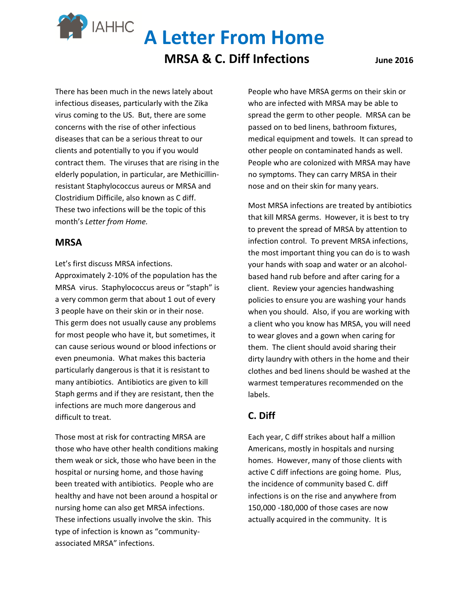**A Letter From Home** 

## **MRSA & C. Diff Infections** *June* 2016

There has been much in the news lately about infectious diseases, particularly with the Zika virus coming to the US. But, there are some concerns with the rise of other infectious diseases that can be a serious threat to our clients and potentially to you if you would contract them. The viruses that are rising in the elderly population, in particular, are Methicillinresistant Staphylococcus aureus or MRSA and Clostridium Difficile, also known as C diff. These two infections will be the topic of this month's *Letter from Home.*

#### **MRSA**

Let's first discuss MRSA infections.

**IAHHC** 

Approximately 2-10% of the population has the MRSA virus. Staphylococcus areus or "staph" is a very common germ that about 1 out of every 3 people have on their skin or in their nose. This germ does not usually cause any problems for most people who have it, but sometimes, it can cause serious wound or blood infections or even pneumonia. What makes this bacteria particularly dangerous is that it is resistant to many antibiotics. Antibiotics are given to kill Staph germs and if they are resistant, then the infections are much more dangerous and difficult to treat.

Those most at risk for contracting MRSA are those who have other health conditions making them weak or sick, those who have been in the hospital or nursing home, and those having been treated with antibiotics. People who are healthy and have not been around a hospital or nursing home can also get MRSA infections. These infections usually involve the skin. This type of infection is known as "communityassociated MRSA" infections.

People who have MRSA germs on their skin or who are infected with MRSA may be able to spread the germ to other people. MRSA can be passed on to bed linens, bathroom fixtures, medical equipment and towels. It can spread to other people on contaminated hands as well. People who are colonized with MRSA may have no symptoms. They can carry MRSA in their nose and on their skin for many years.

Most MRSA infections are treated by antibiotics that kill MRSA germs. However, it is best to try to prevent the spread of MRSA by attention to infection control. To prevent MRSA infections, the most important thing you can do is to wash your hands with soap and water or an alcoholbased hand rub before and after caring for a client. Review your agencies handwashing policies to ensure you are washing your hands when you should. Also, if you are working with a client who you know has MRSA, you will need to wear gloves and a gown when caring for them. The client should avoid sharing their dirty laundry with others in the home and their clothes and bed linens should be washed at the warmest temperatures recommended on the labels.

### **C. Diff**

Each year, C diff strikes about half a million Americans, mostly in hospitals and nursing homes. However, many of those clients with active C diff infections are going home. Plus, the incidence of community based C. diff infections is on the rise and anywhere from 150,000 -180,000 of those cases are now actually acquired in the community. It is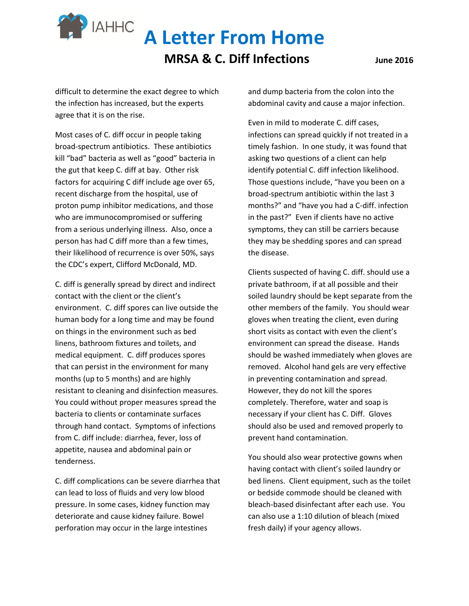# **A Letter From Home**

## **MRSA & C. Diff Infections** *June* 2016

difficult to determine the exact degree to which the infection has increased, but the experts agree that it is on the rise.

**IAHHC** 

Most cases of C. diff occur in people taking broad-spectrum antibiotics. These antibiotics kill "bad" bacteria as well as "good" bacteria in the gut that keep C. diff at bay. Other risk factors for acquiring C diff include age over 65, recent discharge from the hospital, use of proton pump inhibitor medications, and those who are immunocompromised or suffering from a serious underlying illness. Also, once a person has had C diff more than a few times, their likelihood of recurrence is over 50%, says the CDC's expert, Clifford McDonald, MD.

C. diff is generally spread by direct and indirect contact with the client or the client's environment. C. diff spores can live outside the human body for a long time and may be found on things in the environment such as bed linens, bathroom fixtures and toilets, and medical equipment. C. diff produces spores that can persist in the environment for many months (up to 5 months) and are highly resistant to cleaning and disinfection measures. You could without proper measures spread the bacteria to clients or contaminate surfaces through hand contact. Symptoms of infections from C. diff include: diarrhea, fever, loss of appetite, nausea and abdominal pain or tenderness.

C. diff complications can be severe diarrhea that can lead to loss of fluids and very low blood pressure. In some cases, kidney function may deteriorate and cause kidney failure. Bowel perforation may occur in the large intestines

and dump bacteria from the colon into the abdominal cavity and cause a major infection.

Even in mild to moderate C. diff cases, infections can spread quickly if not treated in a timely fashion. In one study, it was found that asking two questions of a client can help identify potential C. diff infection likelihood. Those questions include, "have you been on a broad-spectrum antibiotic within the last 3 months?" and "have you had a C-diff. infection in the past?" Even if clients have no active symptoms, they can still be carriers because they may be shedding spores and can spread the disease.

Clients suspected of having C. diff. should use a private bathroom, if at all possible and their soiled laundry should be kept separate from the other members of the family. You should wear gloves when treating the client, even during short visits as contact with even the client's environment can spread the disease. Hands should be washed immediately when gloves are removed. Alcohol hand gels are very effective in preventing contamination and spread. However, they do not kill the spores completely. Therefore, water and soap is necessary if your client has C. Diff. Gloves should also be used and removed properly to prevent hand contamination.

You should also wear protective gowns when having contact with client's soiled laundry or bed linens. Client equipment, such as the toilet or bedside commode should be cleaned with bleach-based disinfectant after each use. You can also use a 1:10 dilution of bleach (mixed fresh daily) if your agency allows.